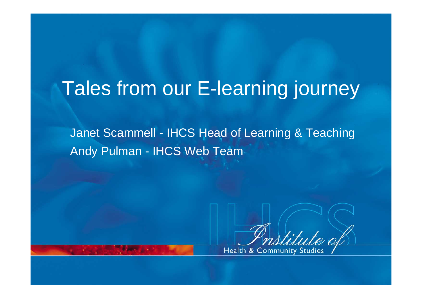### Tales from our E-learning journey

Janet Scammell - IHCS Head of Learning & Teaching Andy Pulman - IHCS Web Team



Health & Community Studies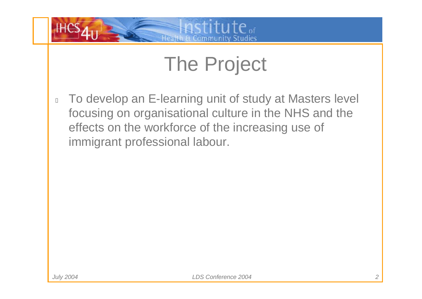

# The Project

 $\Box$  To develop an E-learning unit of study at Masters level focusing on organisational culture in the NHS and the effects on the workforce of the increasing use of immigrant professional labour.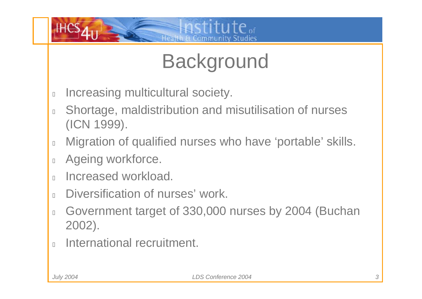

# **Background**

- $\Box$ Increasing multicultural society.
- $\Box$  Shortage, maldistribution and misutilisation of nurses (ICN 1999).
- $\overline{\Pi}$ Migration of qualified nurses who have 'portable' skills.
- $\Box$ Ageing workforce.
- $\Box$ Increased workload.
- $\overline{\Pi}$ Diversification of nurses' work.
- $\Box$  Government target of 330,000 nurses by 2004 (Buchan 2002).
- $\Box$ International recruitment.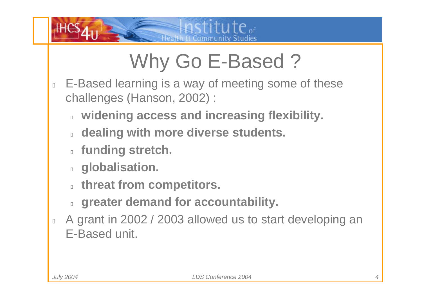

# Why Go E-Based ?

- $\begin{bmatrix} 1 \\ 2 \end{bmatrix}$  E-Based learning is a way of meeting some of these challenges (Hanson, 2002) :
	- **widening access and increasing flexibility.**
	- $\Box$ **dealing with more diverse students.**
	- **funding stretch.**
	- **globalisation.**
	- **threat from competitors.**
	- $\Box$ **greater demand for accountability.**
- $\begin{bmatrix} 1 \\ 2 \end{bmatrix}$  A grant in 2002 / 2003 allowed us to start developing an E-Based unit.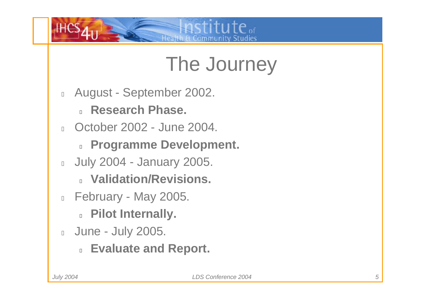

# The Journey

- $\Box$  August - September 2002.
	- $\Box$ **Research Phase.**
- $\Box$  October 2002 - June 2004.
	- **Programme Development.**
- $\Box$  July 2004 - January 2005.
	- **Validation/Revisions.**
- $\Box$  February - May 2005.
	- **Pilot Internally.**
- **June July 2005.** 
	- **Evaluate and Report.**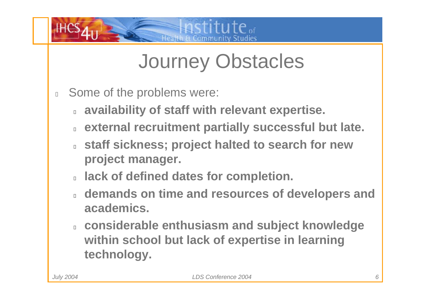

# Journey Obstacles

- $\Box$  Some of the problems were:
	- ◨ **availability of staff with relevant expertise.**
	- ◨ **external recruitment partially successful but late.**
	- **staff sickness; project halted to search for new project manager.**
	- **lack of defined dates for completion.**
	- **demands on time and resources of developers and academics.**
	- **considerable enthusiasm and subject knowledge within school but lack of expertise in learning technology.**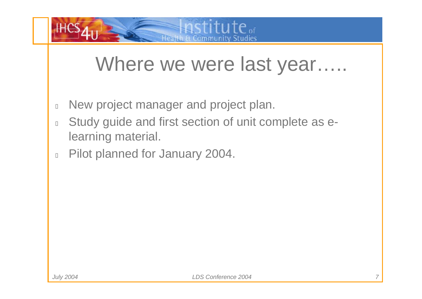

### Where we were last year…..

- $\Box$ New project manager and project plan.
- $\Box$  Study guide and first section of unit complete as elearning material.
- $\begin{bmatrix} 1 \\ 2 \end{bmatrix}$ Pilot planned for January 2004.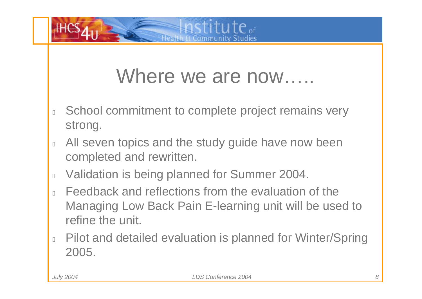

### Where we are now.....

- $\Box$  School commitment to complete project remains very strong.
- $\Box$  All seven topics and the study guide have now been completed and rewritten.
- $\begin{bmatrix} 1 \\ 2 \end{bmatrix}$ Validation is being planned for Summer 2004.
- $\Box$  Feedback and reflections from the evaluation of the Managing Low Back Pain E-learning unit will be used to refine the unit.
- $\Box$  Pilot and detailed evaluation is planned for Winter/Spring 2005.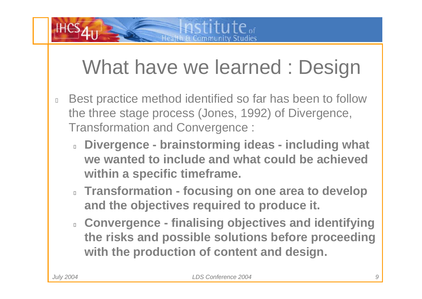# What have we learned : Design

- $\Box$  Best practice method identified so far has been to follow the three stage process (Jones, 1992) of Divergence, Transformation and Convergence :
	- **Divergence - brainstorming ideas - including what we wanted to include and what could be achieved within a specific timeframe.**
	- **Transformation - focusing on one area to develop and the objectives required to produce it.**
	- **Convergence - finalising objectives and identifying the risks and possible solutions before proceeding with the production of content and design.**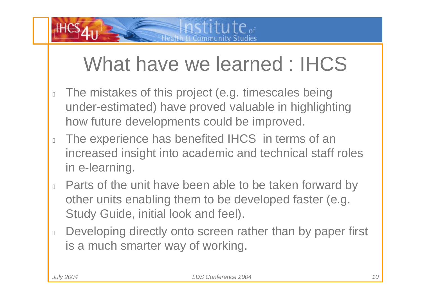# What have we learned : IHCS

- $\overline{\Pi}$  The mistakes of this project (e.g. timescales being under-estimated) have proved valuable in highlighting how future developments could be improved.
- $\Box$  The experience has benefited IHCS in terms of an increased insight into academic and technical staff roles in e-learning.
- $\Box$  Parts of the unit have been able to be taken forward by other units enabling them to be developed faster (e.g. Study Guide, initial look and feel).
- $\Box$  Developing directly onto screen rather than by paper first is a much smarter way of working.